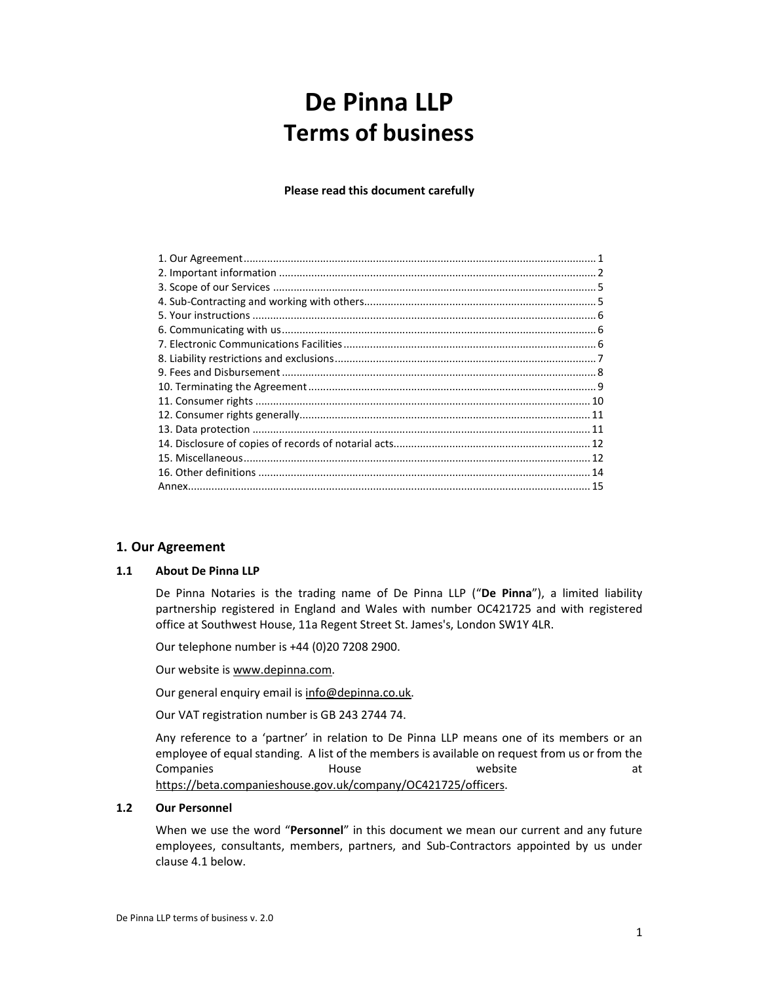# De Pinna LLP Terms of business

Please read this document carefully

# 1. Our Agreement

# 1.1 About De Pinna LLP

De Pinna Notaries is the trading name of De Pinna LLP ("De Pinna"), a limited liability partnership registered in England and Wales with number OC421725 and with registered office at Southwest House, 11a Regent Street St. James's, London SW1Y 4LR.

Our telephone number is +44 (0)20 7208 2900.

Our website is www.depinna.com.

Our general enquiry email is info@depinna.co.uk.

Our VAT registration number is GB 243 2744 74.

Any reference to a 'partner' in relation to De Pinna LLP means one of its members or an employee of equal standing. A list of the members is available on request from us or from the Companies and House and Website at at the Month House at the Month Month Month Art at at the Month Month Month https://beta.companieshouse.gov.uk/company/OC421725/officers.

#### 1.2 Our Personnel

When we use the word "Personnel" in this document we mean our current and any future employees, consultants, members, partners, and Sub-Contractors appointed by us under clause 4.1 below.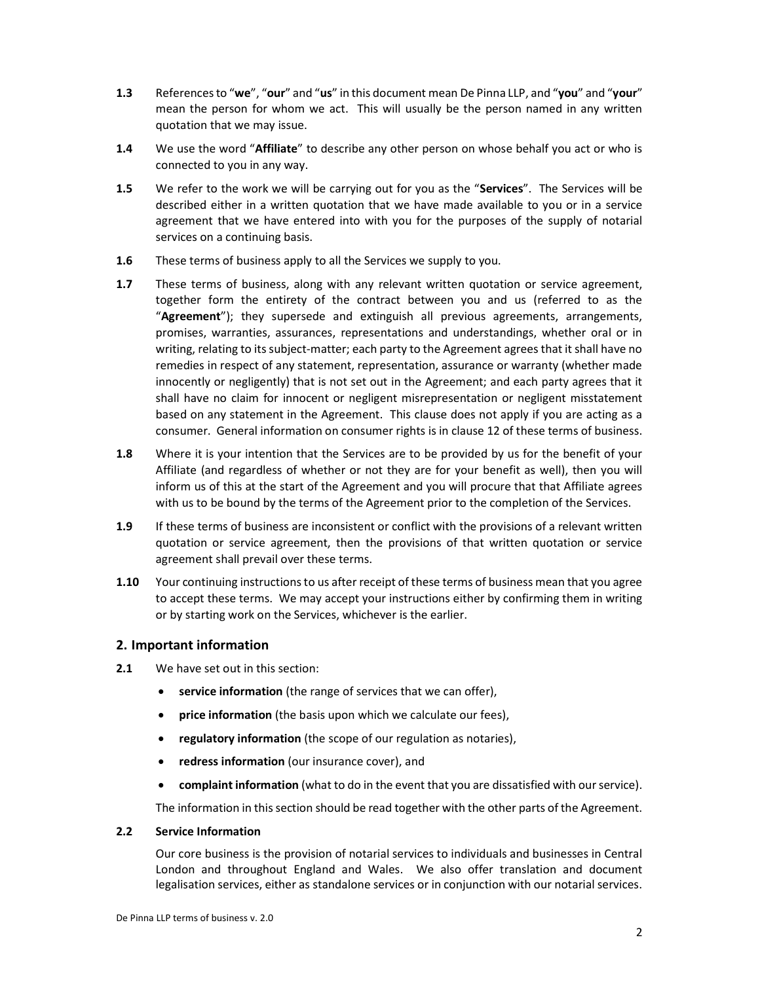- 1.3 References to "we", "our" and "us" in this document mean De Pinna LLP, and "you" and "your" mean the person for whom we act. This will usually be the person named in any written quotation that we may issue.
- 1.4 We use the word "Affiliate" to describe any other person on whose behalf you act or who is connected to you in any way.
- 1.5 We refer to the work we will be carrying out for you as the "Services". The Services will be described either in a written quotation that we have made available to you or in a service agreement that we have entered into with you for the purposes of the supply of notarial services on a continuing basis.
- 1.6 These terms of business apply to all the Services we supply to you.
- **1.7** These terms of business, along with any relevant written quotation or service agreement, together form the entirety of the contract between you and us (referred to as the "Agreement"); they supersede and extinguish all previous agreements, arrangements, promises, warranties, assurances, representations and understandings, whether oral or in writing, relating to its subject-matter; each party to the Agreement agrees that it shall have no remedies in respect of any statement, representation, assurance or warranty (whether made innocently or negligently) that is not set out in the Agreement; and each party agrees that it shall have no claim for innocent or negligent misrepresentation or negligent misstatement based on any statement in the Agreement. This clause does not apply if you are acting as a consumer. General information on consumer rights is in clause 12 of these terms of business.
- 1.8 Where it is your intention that the Services are to be provided by us for the benefit of your Affiliate (and regardless of whether or not they are for your benefit as well), then you will inform us of this at the start of the Agreement and you will procure that that Affiliate agrees with us to be bound by the terms of the Agreement prior to the completion of the Services.
- 1.9 If these terms of business are inconsistent or conflict with the provisions of a relevant written quotation or service agreement, then the provisions of that written quotation or service agreement shall prevail over these terms.
- 1.10 Your continuing instructions to us after receipt of these terms of business mean that you agree to accept these terms. We may accept your instructions either by confirming them in writing or by starting work on the Services, whichever is the earlier.

# 2. Important information

- 2.1 We have set out in this section:
	- service information (the range of services that we can offer),
	- price information (the basis upon which we calculate our fees),
	- regulatory information (the scope of our regulation as notaries),
	- redress information (our insurance cover), and
	- complaint information (what to do in the event that you are dissatisfied with our service).

The information in this section should be read together with the other parts of the Agreement.

#### 2.2 Service Information

Our core business is the provision of notarial services to individuals and businesses in Central London and throughout England and Wales. We also offer translation and document legalisation services, either as standalone services or in conjunction with our notarial services.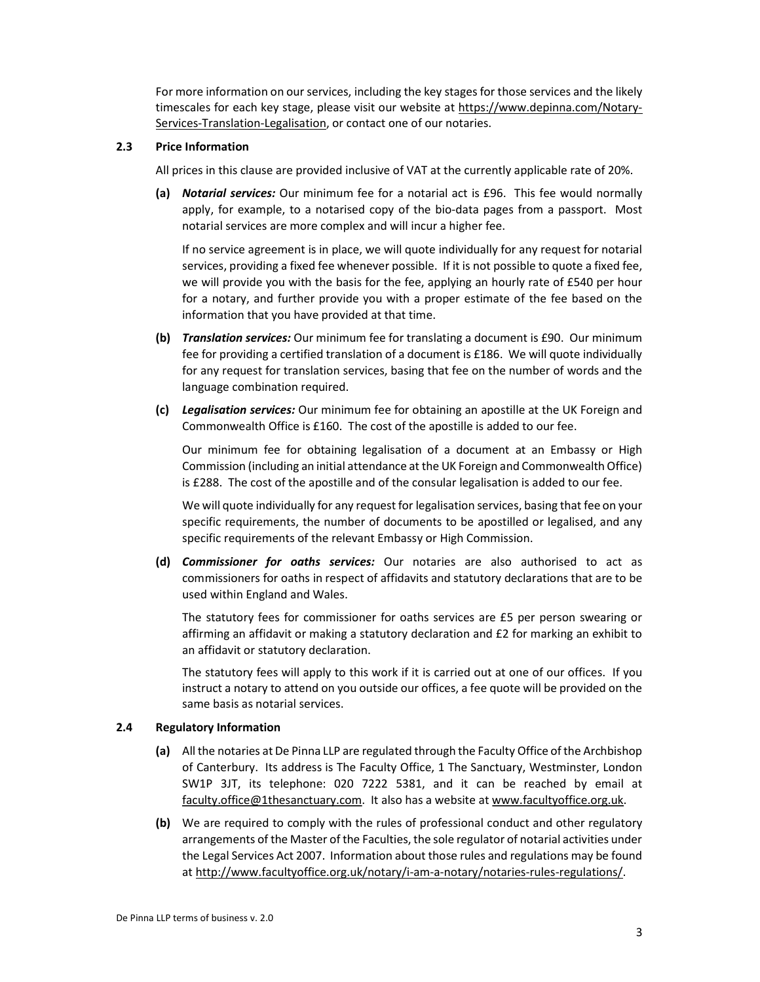For more information on our services, including the key stages for those services and the likely timescales for each key stage, please visit our website at https://www.depinna.com/Notary-Services-Translation-Legalisation, or contact one of our notaries.

# 2.3 Price Information

All prices in this clause are provided inclusive of VAT at the currently applicable rate of 20%.

(a) Notarial services: Our minimum fee for a notarial act is £96. This fee would normally apply, for example, to a notarised copy of the bio-data pages from a passport. Most notarial services are more complex and will incur a higher fee.

If no service agreement is in place, we will quote individually for any request for notarial services, providing a fixed fee whenever possible. If it is not possible to quote a fixed fee, we will provide you with the basis for the fee, applying an hourly rate of £540 per hour for a notary, and further provide you with a proper estimate of the fee based on the information that you have provided at that time.

- (b) Translation services: Our minimum fee for translating a document is £90. Our minimum fee for providing a certified translation of a document is £186. We will quote individually for any request for translation services, basing that fee on the number of words and the language combination required.
- (c) Legalisation services: Our minimum fee for obtaining an apostille at the UK Foreign and Commonwealth Office is £160. The cost of the apostille is added to our fee.

Our minimum fee for obtaining legalisation of a document at an Embassy or High Commission (including an initial attendance at the UK Foreign and Commonwealth Office) is £288. The cost of the apostille and of the consular legalisation is added to our fee.

We will quote individually for any request for legalisation services, basing that fee on your specific requirements, the number of documents to be apostilled or legalised, and any specific requirements of the relevant Embassy or High Commission.

(d) Commissioner for oaths services: Our notaries are also authorised to act as commissioners for oaths in respect of affidavits and statutory declarations that are to be used within England and Wales.

The statutory fees for commissioner for oaths services are £5 per person swearing or affirming an affidavit or making a statutory declaration and £2 for marking an exhibit to an affidavit or statutory declaration.

The statutory fees will apply to this work if it is carried out at one of our offices. If you instruct a notary to attend on you outside our offices, a fee quote will be provided on the same basis as notarial services.

# 2.4 Regulatory Information

- (a) All the notaries at De Pinna LLP are regulated through the Faculty Office of the Archbishop of Canterbury. Its address is The Faculty Office, 1 The Sanctuary, Westminster, London SW1P 3JT, its telephone: 020 7222 5381, and it can be reached by email at faculty.office@1thesanctuary.com. It also has a website at www.facultyoffice.org.uk.
- (b) We are required to comply with the rules of professional conduct and other regulatory arrangements of the Master of the Faculties, the sole regulator of notarial activities under the Legal Services Act 2007. Information about those rules and regulations may be found at http://www.facultyoffice.org.uk/notary/i-am-a-notary/notaries-rules-regulations/.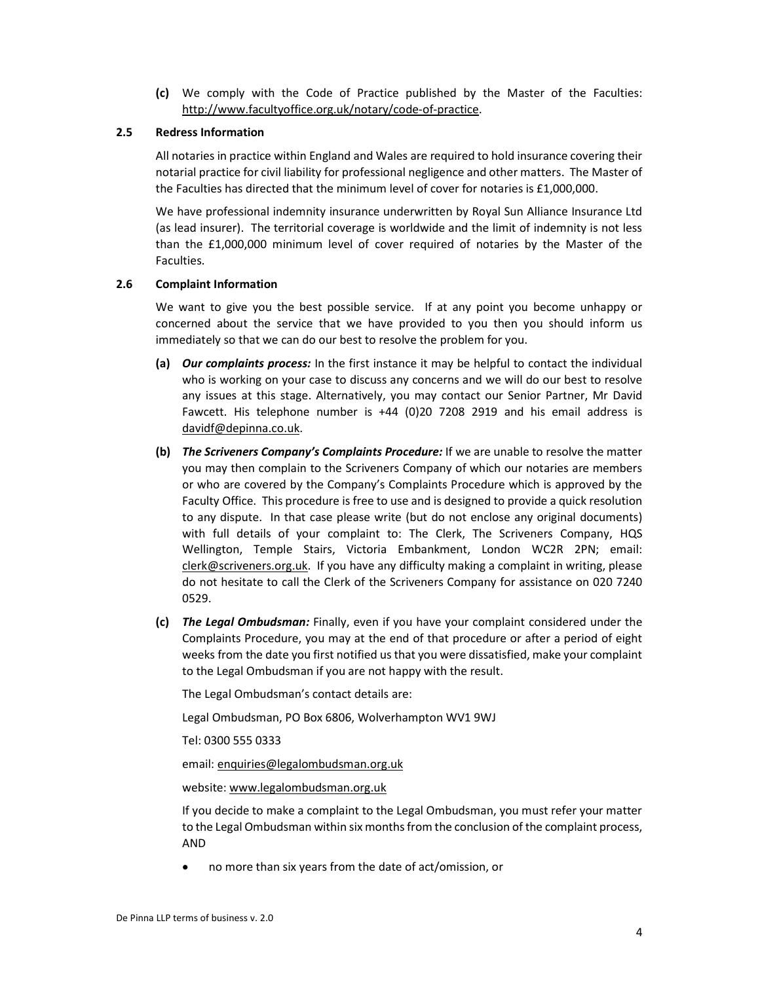(c) We comply with the Code of Practice published by the Master of the Faculties: http://www.facultyoffice.org.uk/notary/code-of-practice.

## 2.5 Redress Information

All notaries in practice within England and Wales are required to hold insurance covering their notarial practice for civil liability for professional negligence and other matters. The Master of the Faculties has directed that the minimum level of cover for notaries is £1,000,000.

We have professional indemnity insurance underwritten by Royal Sun Alliance Insurance Ltd (as lead insurer). The territorial coverage is worldwide and the limit of indemnity is not less than the £1,000,000 minimum level of cover required of notaries by the Master of the Faculties.

#### 2.6 Complaint Information

We want to give you the best possible service. If at any point you become unhappy or concerned about the service that we have provided to you then you should inform us immediately so that we can do our best to resolve the problem for you.

- (a) Our complaints process: In the first instance it may be helpful to contact the individual who is working on your case to discuss any concerns and we will do our best to resolve any issues at this stage. Alternatively, you may contact our Senior Partner, Mr David Fawcett. His telephone number is +44 (0)20 7208 2919 and his email address is davidf@depinna.co.uk.
- (b) The Scriveners Company's Complaints Procedure: If we are unable to resolve the matter you may then complain to the Scriveners Company of which our notaries are members or who are covered by the Company's Complaints Procedure which is approved by the Faculty Office. This procedure is free to use and is designed to provide a quick resolution to any dispute. In that case please write (but do not enclose any original documents) with full details of your complaint to: The Clerk, The Scriveners Company, HQS Wellington, Temple Stairs, Victoria Embankment, London WC2R 2PN; email: clerk@scriveners.org.uk. If you have any difficulty making a complaint in writing, please do not hesitate to call the Clerk of the Scriveners Company for assistance on 020 7240 0529.
- (c) The Legal Ombudsman: Finally, even if you have your complaint considered under the Complaints Procedure, you may at the end of that procedure or after a period of eight weeks from the date you first notified us that you were dissatisfied, make your complaint to the Legal Ombudsman if you are not happy with the result.

The Legal Ombudsman's contact details are:

Legal Ombudsman, PO Box 6806, Wolverhampton WV1 9WJ

Tel: 0300 555 0333

email: enquiries@legalombudsman.org.uk

website: www.legalombudsman.org.uk

If you decide to make a complaint to the Legal Ombudsman, you must refer your matter to the Legal Ombudsman within six months from the conclusion of the complaint process, AND

no more than six years from the date of act/omission, or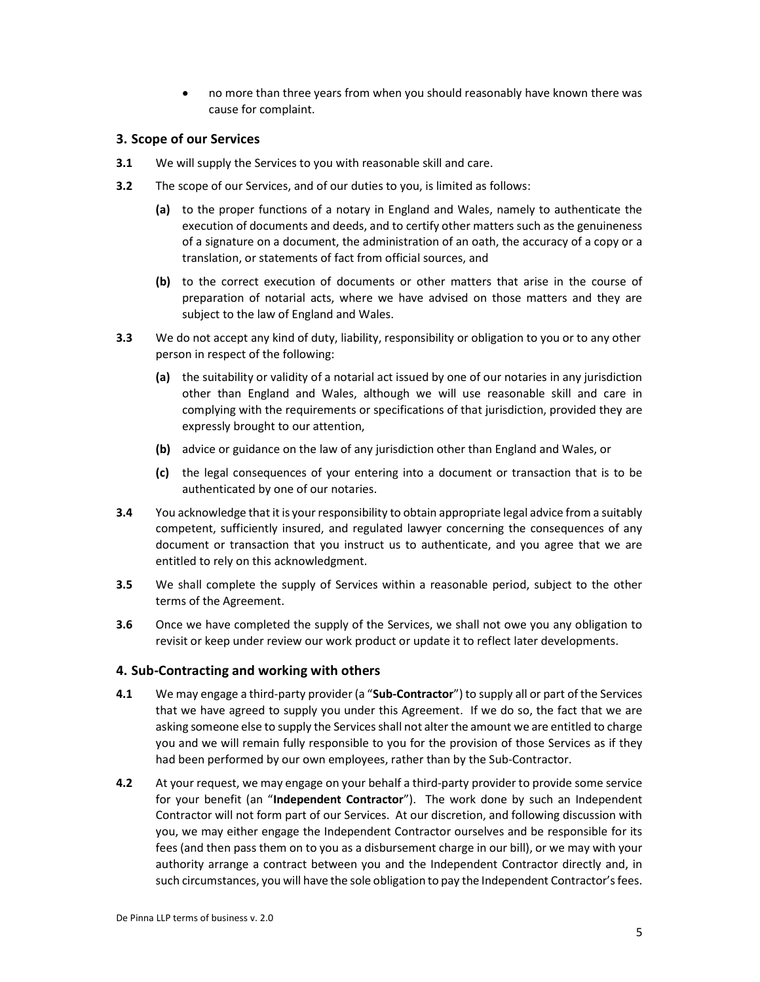no more than three years from when you should reasonably have known there was cause for complaint.

# 3. Scope of our Services

- **3.1** We will supply the Services to you with reasonable skill and care.
- **3.2** The scope of our Services, and of our duties to you, is limited as follows:
	- (a) to the proper functions of a notary in England and Wales, namely to authenticate the execution of documents and deeds, and to certify other matters such as the genuineness of a signature on a document, the administration of an oath, the accuracy of a copy or a translation, or statements of fact from official sources, and
	- (b) to the correct execution of documents or other matters that arise in the course of preparation of notarial acts, where we have advised on those matters and they are subject to the law of England and Wales.
- **3.3** We do not accept any kind of duty, liability, responsibility or obligation to you or to any other person in respect of the following:
	- (a) the suitability or validity of a notarial act issued by one of our notaries in any jurisdiction other than England and Wales, although we will use reasonable skill and care in complying with the requirements or specifications of that jurisdiction, provided they are expressly brought to our attention,
	- (b) advice or guidance on the law of any jurisdiction other than England and Wales, or
	- (c) the legal consequences of your entering into a document or transaction that is to be authenticated by one of our notaries.
- 3.4 You acknowledge that it is your responsibility to obtain appropriate legal advice from a suitably competent, sufficiently insured, and regulated lawyer concerning the consequences of any document or transaction that you instruct us to authenticate, and you agree that we are entitled to rely on this acknowledgment.
- **3.5** We shall complete the supply of Services within a reasonable period, subject to the other terms of the Agreement.
- **3.6** Once we have completed the supply of the Services, we shall not owe you any obligation to revisit or keep under review our work product or update it to reflect later developments.

# 4. Sub-Contracting and working with others

- 4.1 We may engage a third-party provider (a "Sub-Contractor") to supply all or part of the Services that we have agreed to supply you under this Agreement. If we do so, the fact that we are asking someone else to supply the Services shall not alter the amount we are entitled to charge you and we will remain fully responsible to you for the provision of those Services as if they had been performed by our own employees, rather than by the Sub-Contractor.
- 4.2 At your request, we may engage on your behalf a third-party provider to provide some service for your benefit (an "Independent Contractor"). The work done by such an Independent Contractor will not form part of our Services. At our discretion, and following discussion with you, we may either engage the Independent Contractor ourselves and be responsible for its fees (and then pass them on to you as a disbursement charge in our bill), or we may with your authority arrange a contract between you and the Independent Contractor directly and, in such circumstances, you will have the sole obligation to pay the Independent Contractor's fees.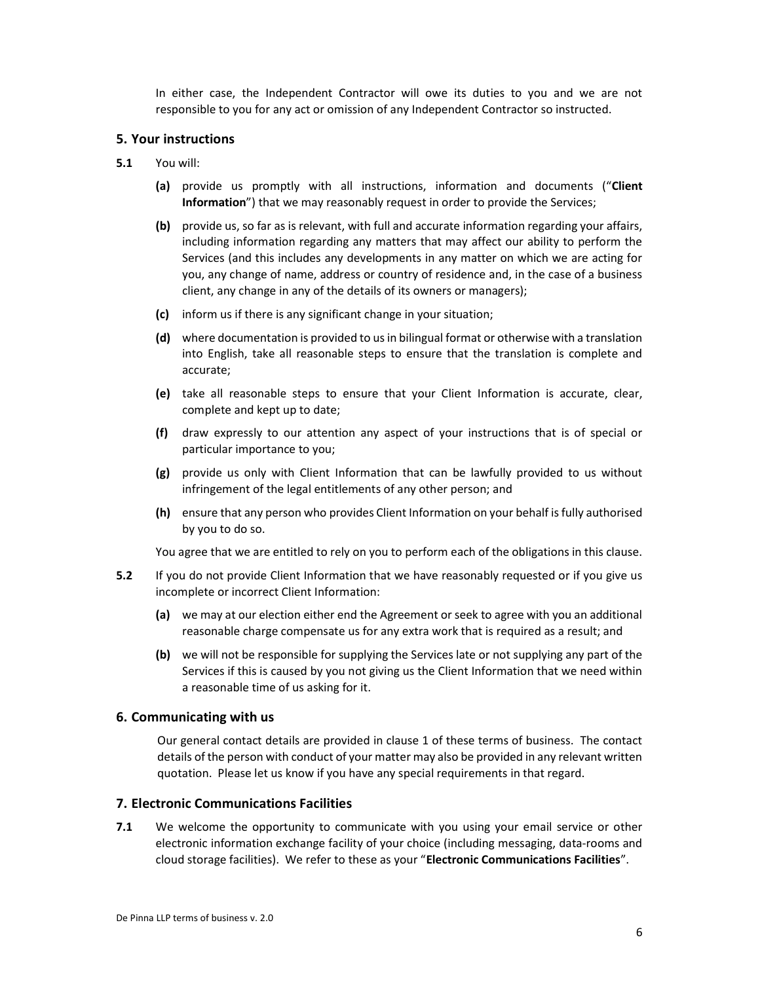In either case, the Independent Contractor will owe its duties to you and we are not responsible to you for any act or omission of any Independent Contractor so instructed.

## 5. Your instructions

- 5.1 You will:
	- (a) provide us promptly with all instructions, information and documents ("Client Information") that we may reasonably request in order to provide the Services;
	- (b) provide us, so far as is relevant, with full and accurate information regarding your affairs, including information regarding any matters that may affect our ability to perform the Services (and this includes any developments in any matter on which we are acting for you, any change of name, address or country of residence and, in the case of a business client, any change in any of the details of its owners or managers);
	- (c) inform us if there is any significant change in your situation;
	- (d) where documentation is provided to us in bilingual format or otherwise with a translation into English, take all reasonable steps to ensure that the translation is complete and accurate;
	- (e) take all reasonable steps to ensure that your Client Information is accurate, clear, complete and kept up to date;
	- (f) draw expressly to our attention any aspect of your instructions that is of special or particular importance to you;
	- (g) provide us only with Client Information that can be lawfully provided to us without infringement of the legal entitlements of any other person; and
	- (h) ensure that any person who provides Client Information on your behalf is fully authorised by you to do so.

You agree that we are entitled to rely on you to perform each of the obligations in this clause.

- 5.2 If you do not provide Client Information that we have reasonably requested or if you give us incomplete or incorrect Client Information:
	- (a) we may at our election either end the Agreement or seek to agree with you an additional reasonable charge compensate us for any extra work that is required as a result; and
	- (b) we will not be responsible for supplying the Services late or not supplying any part of the Services if this is caused by you not giving us the Client Information that we need within a reasonable time of us asking for it.

## 6. Communicating with us

Our general contact details are provided in clause 1 of these terms of business. The contact details of the person with conduct of your matter may also be provided in any relevant written quotation. Please let us know if you have any special requirements in that regard.

# 7. Electronic Communications Facilities

**7.1** We welcome the opportunity to communicate with you using your email service or other electronic information exchange facility of your choice (including messaging, data-rooms and cloud storage facilities). We refer to these as your "Electronic Communications Facilities".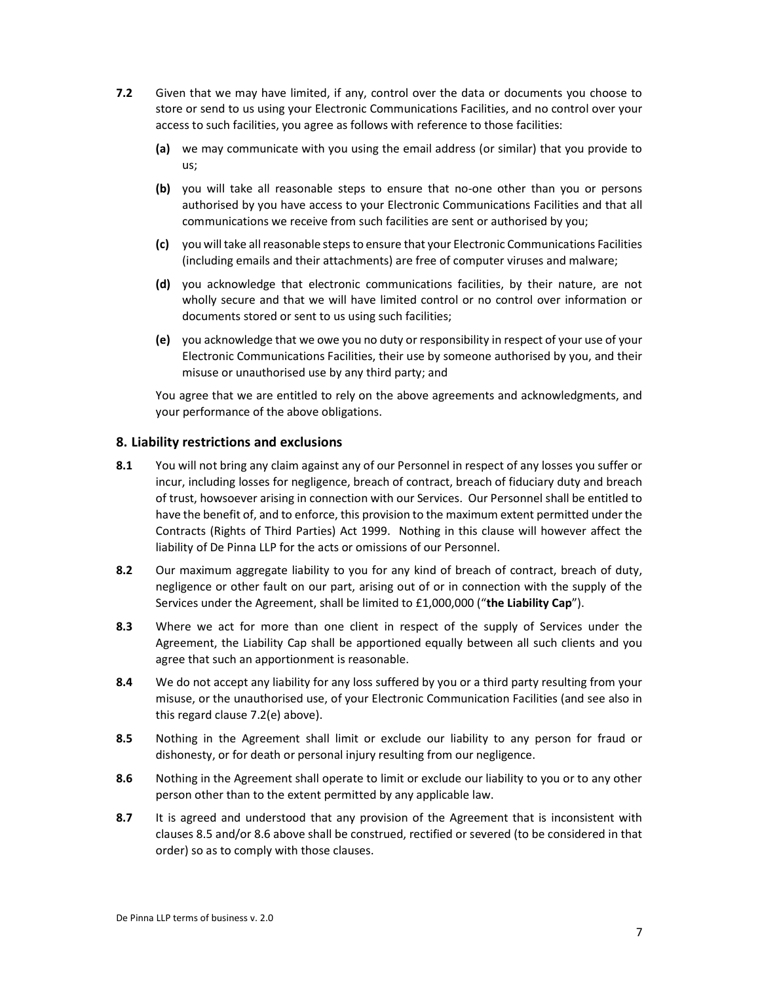- 7.2 Given that we may have limited, if any, control over the data or documents you choose to store or send to us using your Electronic Communications Facilities, and no control over your access to such facilities, you agree as follows with reference to those facilities:
	- (a) we may communicate with you using the email address (or similar) that you provide to us;
	- (b) you will take all reasonable steps to ensure that no-one other than you or persons authorised by you have access to your Electronic Communications Facilities and that all communications we receive from such facilities are sent or authorised by you;
	- (c) you will take all reasonable steps to ensure that your Electronic Communications Facilities (including emails and their attachments) are free of computer viruses and malware;
	- (d) you acknowledge that electronic communications facilities, by their nature, are not wholly secure and that we will have limited control or no control over information or documents stored or sent to us using such facilities;
	- (e) you acknowledge that we owe you no duty or responsibility in respect of your use of your Electronic Communications Facilities, their use by someone authorised by you, and their misuse or unauthorised use by any third party; and

You agree that we are entitled to rely on the above agreements and acknowledgments, and your performance of the above obligations.

# 8. Liability restrictions and exclusions

- 8.1 You will not bring any claim against any of our Personnel in respect of any losses you suffer or incur, including losses for negligence, breach of contract, breach of fiduciary duty and breach of trust, howsoever arising in connection with our Services. Our Personnel shall be entitled to have the benefit of, and to enforce, this provision to the maximum extent permitted under the Contracts (Rights of Third Parties) Act 1999. Nothing in this clause will however affect the liability of De Pinna LLP for the acts or omissions of our Personnel.
- 8.2 Our maximum aggregate liability to you for any kind of breach of contract, breach of duty, negligence or other fault on our part, arising out of or in connection with the supply of the Services under the Agreement, shall be limited to £1,000,000 ("the Liability Cap").
- 8.3 Where we act for more than one client in respect of the supply of Services under the Agreement, the Liability Cap shall be apportioned equally between all such clients and you agree that such an apportionment is reasonable.
- 8.4 We do not accept any liability for any loss suffered by you or a third party resulting from your misuse, or the unauthorised use, of your Electronic Communication Facilities (and see also in this regard clause 7.2(e) above).
- 8.5 Nothing in the Agreement shall limit or exclude our liability to any person for fraud or dishonesty, or for death or personal injury resulting from our negligence.
- 8.6 Nothing in the Agreement shall operate to limit or exclude our liability to you or to any other person other than to the extent permitted by any applicable law.
- 8.7 It is agreed and understood that any provision of the Agreement that is inconsistent with clauses 8.5 and/or 8.6 above shall be construed, rectified or severed (to be considered in that order) so as to comply with those clauses.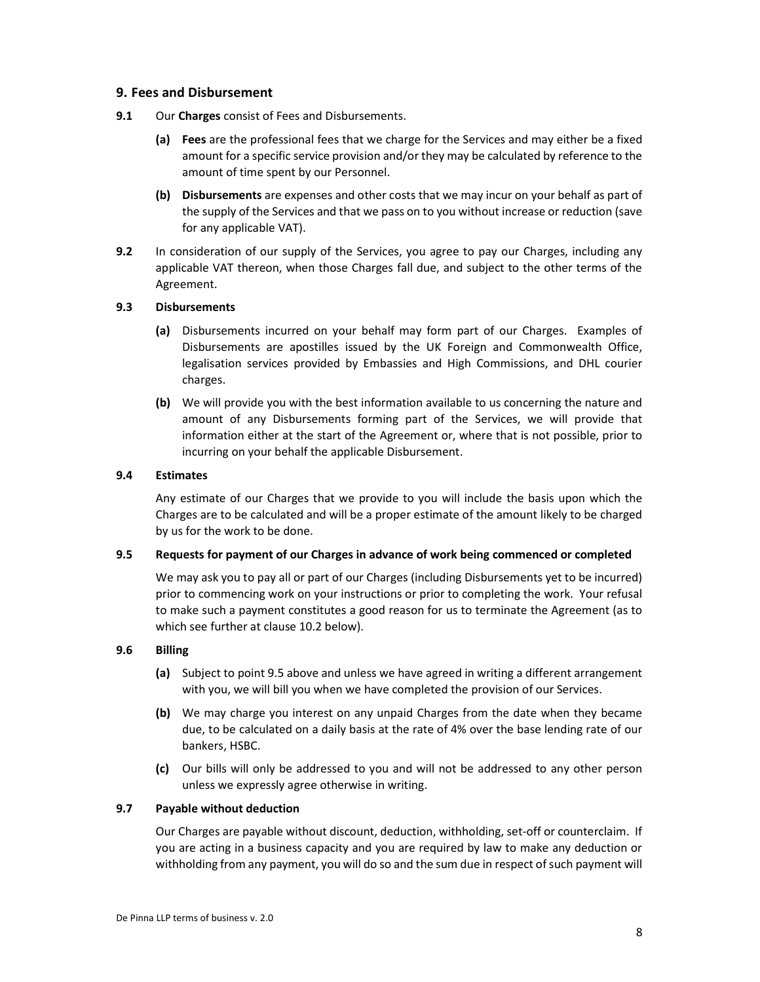# 9. Fees and Disbursement

- 9.1 Our Charges consist of Fees and Disbursements.
	- (a) Fees are the professional fees that we charge for the Services and may either be a fixed amount for a specific service provision and/or they may be calculated by reference to the amount of time spent by our Personnel.
	- (b) Disbursements are expenses and other costs that we may incur on your behalf as part of the supply of the Services and that we pass on to you without increase or reduction (save for any applicable VAT).
- 9.2 In consideration of our supply of the Services, you agree to pay our Charges, including any applicable VAT thereon, when those Charges fall due, and subject to the other terms of the Agreement.

# 9.3 Disbursements

- (a) Disbursements incurred on your behalf may form part of our Charges. Examples of Disbursements are apostilles issued by the UK Foreign and Commonwealth Office, legalisation services provided by Embassies and High Commissions, and DHL courier charges.
- (b) We will provide you with the best information available to us concerning the nature and amount of any Disbursements forming part of the Services, we will provide that information either at the start of the Agreement or, where that is not possible, prior to incurring on your behalf the applicable Disbursement.

# 9.4 Estimates

Any estimate of our Charges that we provide to you will include the basis upon which the Charges are to be calculated and will be a proper estimate of the amount likely to be charged by us for the work to be done.

# 9.5 Requests for payment of our Charges in advance of work being commenced or completed

We may ask you to pay all or part of our Charges (including Disbursements yet to be incurred) prior to commencing work on your instructions or prior to completing the work. Your refusal to make such a payment constitutes a good reason for us to terminate the Agreement (as to which see further at clause 10.2 below).

# 9.6 Billing

- (a) Subject to point 9.5 above and unless we have agreed in writing a different arrangement with you, we will bill you when we have completed the provision of our Services.
- (b) We may charge you interest on any unpaid Charges from the date when they became due, to be calculated on a daily basis at the rate of 4% over the base lending rate of our bankers, HSBC.
- (c) Our bills will only be addressed to you and will not be addressed to any other person unless we expressly agree otherwise in writing.

# 9.7 Payable without deduction

Our Charges are payable without discount, deduction, withholding, set-off or counterclaim. If you are acting in a business capacity and you are required by law to make any deduction or withholding from any payment, you will do so and the sum due in respect of such payment will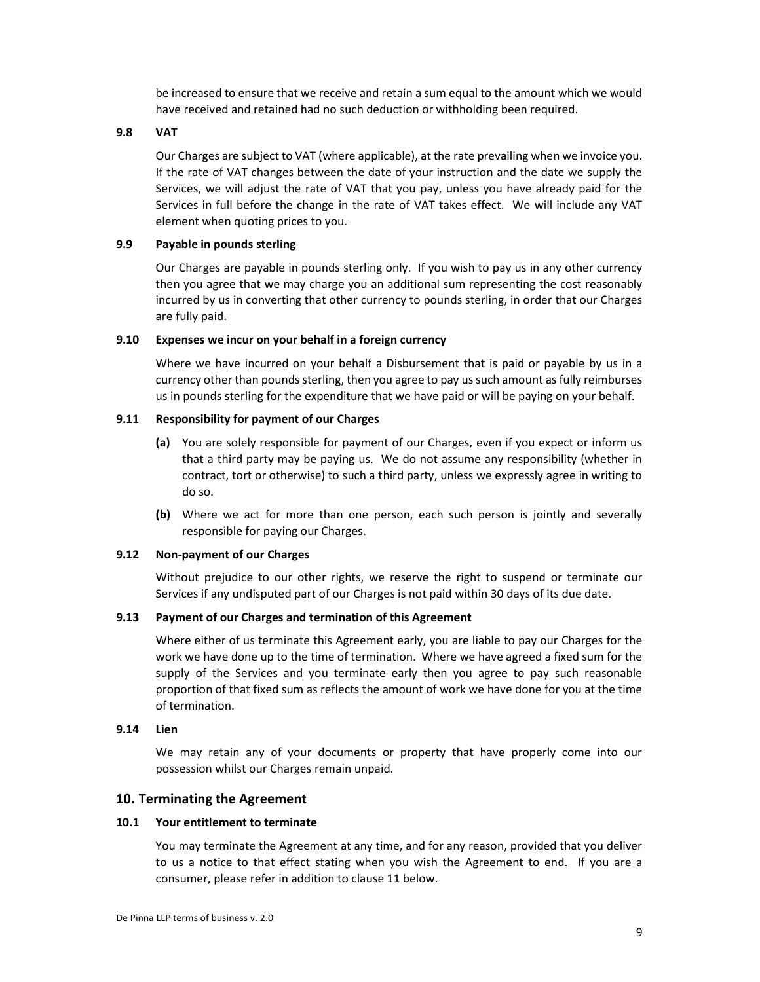be increased to ensure that we receive and retain a sum equal to the amount which we would have received and retained had no such deduction or withholding been required.

#### 9.8 VAT

Our Charges are subject to VAT (where applicable), at the rate prevailing when we invoice you. If the rate of VAT changes between the date of your instruction and the date we supply the Services, we will adjust the rate of VAT that you pay, unless you have already paid for the Services in full before the change in the rate of VAT takes effect. We will include any VAT element when quoting prices to you.

# 9.9 Payable in pounds sterling

Our Charges are payable in pounds sterling only. If you wish to pay us in any other currency then you agree that we may charge you an additional sum representing the cost reasonably incurred by us in converting that other currency to pounds sterling, in order that our Charges are fully paid.

## 9.10 Expenses we incur on your behalf in a foreign currency

Where we have incurred on your behalf a Disbursement that is paid or payable by us in a currency other than pounds sterling, then you agree to pay us such amount as fully reimburses us in pounds sterling for the expenditure that we have paid or will be paying on your behalf.

#### 9.11 Responsibility for payment of our Charges

- (a) You are solely responsible for payment of our Charges, even if you expect or inform us that a third party may be paying us. We do not assume any responsibility (whether in contract, tort or otherwise) to such a third party, unless we expressly agree in writing to do so.
- (b) Where we act for more than one person, each such person is jointly and severally responsible for paying our Charges.

#### 9.12 Non-payment of our Charges

Without prejudice to our other rights, we reserve the right to suspend or terminate our Services if any undisputed part of our Charges is not paid within 30 days of its due date.

#### 9.13 Payment of our Charges and termination of this Agreement

Where either of us terminate this Agreement early, you are liable to pay our Charges for the work we have done up to the time of termination. Where we have agreed a fixed sum for the supply of the Services and you terminate early then you agree to pay such reasonable proportion of that fixed sum as reflects the amount of work we have done for you at the time of termination.

# 9.14 Lien

We may retain any of your documents or property that have properly come into our possession whilst our Charges remain unpaid.

# 10. Terminating the Agreement

#### 10.1 Your entitlement to terminate

You may terminate the Agreement at any time, and for any reason, provided that you deliver to us a notice to that effect stating when you wish the Agreement to end. If you are a consumer, please refer in addition to clause 11 below.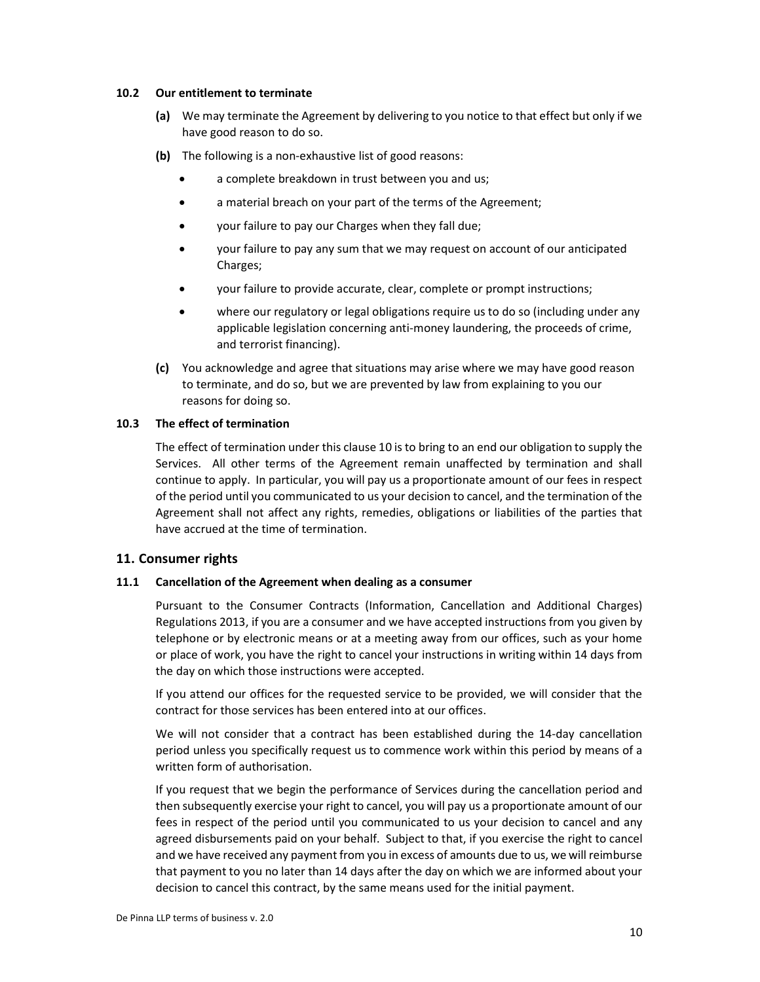#### 10.2 Our entitlement to terminate

- (a) We may terminate the Agreement by delivering to you notice to that effect but only if we have good reason to do so.
- (b) The following is a non-exhaustive list of good reasons:
	- a complete breakdown in trust between you and us;
	- a material breach on your part of the terms of the Agreement;
	- your failure to pay our Charges when they fall due;
	- your failure to pay any sum that we may request on account of our anticipated Charges;
	- your failure to provide accurate, clear, complete or prompt instructions;
	- where our regulatory or legal obligations require us to do so (including under any applicable legislation concerning anti-money laundering, the proceeds of crime, and terrorist financing).
- (c) You acknowledge and agree that situations may arise where we may have good reason to terminate, and do so, but we are prevented by law from explaining to you our reasons for doing so.

## 10.3 The effect of termination

The effect of termination under this clause 10 is to bring to an end our obligation to supply the Services. All other terms of the Agreement remain unaffected by termination and shall continue to apply. In particular, you will pay us a proportionate amount of our fees in respect of the period until you communicated to us your decision to cancel, and the termination of the Agreement shall not affect any rights, remedies, obligations or liabilities of the parties that have accrued at the time of termination.

# 11. Consumer rights

#### 11.1 Cancellation of the Agreement when dealing as a consumer

Pursuant to the Consumer Contracts (Information, Cancellation and Additional Charges) Regulations 2013, if you are a consumer and we have accepted instructions from you given by telephone or by electronic means or at a meeting away from our offices, such as your home or place of work, you have the right to cancel your instructions in writing within 14 days from the day on which those instructions were accepted.

If you attend our offices for the requested service to be provided, we will consider that the contract for those services has been entered into at our offices.

We will not consider that a contract has been established during the 14-day cancellation period unless you specifically request us to commence work within this period by means of a written form of authorisation.

If you request that we begin the performance of Services during the cancellation period and then subsequently exercise your right to cancel, you will pay us a proportionate amount of our fees in respect of the period until you communicated to us your decision to cancel and any agreed disbursements paid on your behalf. Subject to that, if you exercise the right to cancel and we have received any payment from you in excess of amounts due to us, we will reimburse that payment to you no later than 14 days after the day on which we are informed about your decision to cancel this contract, by the same means used for the initial payment.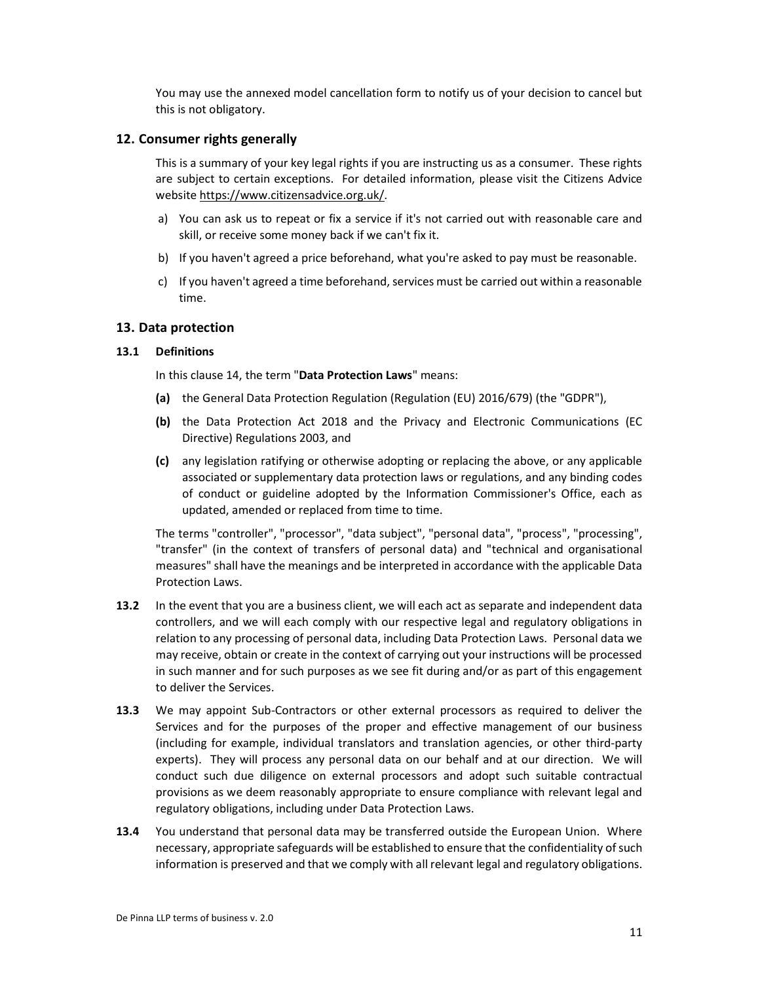You may use the annexed model cancellation form to notify us of your decision to cancel but this is not obligatory.

# 12. Consumer rights generally

This is a summary of your key legal rights if you are instructing us as a consumer. These rights are subject to certain exceptions. For detailed information, please visit the Citizens Advice website https://www.citizensadvice.org.uk/.

- a) You can ask us to repeat or fix a service if it's not carried out with reasonable care and skill, or receive some money back if we can't fix it.
- b) If you haven't agreed a price beforehand, what you're asked to pay must be reasonable.
- c) If you haven't agreed a time beforehand, services must be carried out within a reasonable time.

#### 13. Data protection

#### 13.1 Definitions

In this clause 14, the term "Data Protection Laws" means:

- (a) the General Data Protection Regulation (Regulation (EU) 2016/679) (the "GDPR"),
- (b) the Data Protection Act 2018 and the Privacy and Electronic Communications (EC Directive) Regulations 2003, and
- (c) any legislation ratifying or otherwise adopting or replacing the above, or any applicable associated or supplementary data protection laws or regulations, and any binding codes of conduct or guideline adopted by the Information Commissioner's Office, each as updated, amended or replaced from time to time.

The terms "controller", "processor", "data subject", "personal data", "process", "processing", "transfer" (in the context of transfers of personal data) and "technical and organisational measures" shall have the meanings and be interpreted in accordance with the applicable Data Protection Laws.

- 13.2 In the event that you are a business client, we will each act as separate and independent data controllers, and we will each comply with our respective legal and regulatory obligations in relation to any processing of personal data, including Data Protection Laws. Personal data we may receive, obtain or create in the context of carrying out your instructions will be processed in such manner and for such purposes as we see fit during and/or as part of this engagement to deliver the Services.
- 13.3 We may appoint Sub-Contractors or other external processors as required to deliver the Services and for the purposes of the proper and effective management of our business (including for example, individual translators and translation agencies, or other third-party experts). They will process any personal data on our behalf and at our direction. We will conduct such due diligence on external processors and adopt such suitable contractual provisions as we deem reasonably appropriate to ensure compliance with relevant legal and regulatory obligations, including under Data Protection Laws.
- 13.4 You understand that personal data may be transferred outside the European Union. Where necessary, appropriate safeguards will be established to ensure that the confidentiality of such information is preserved and that we comply with all relevant legal and regulatory obligations.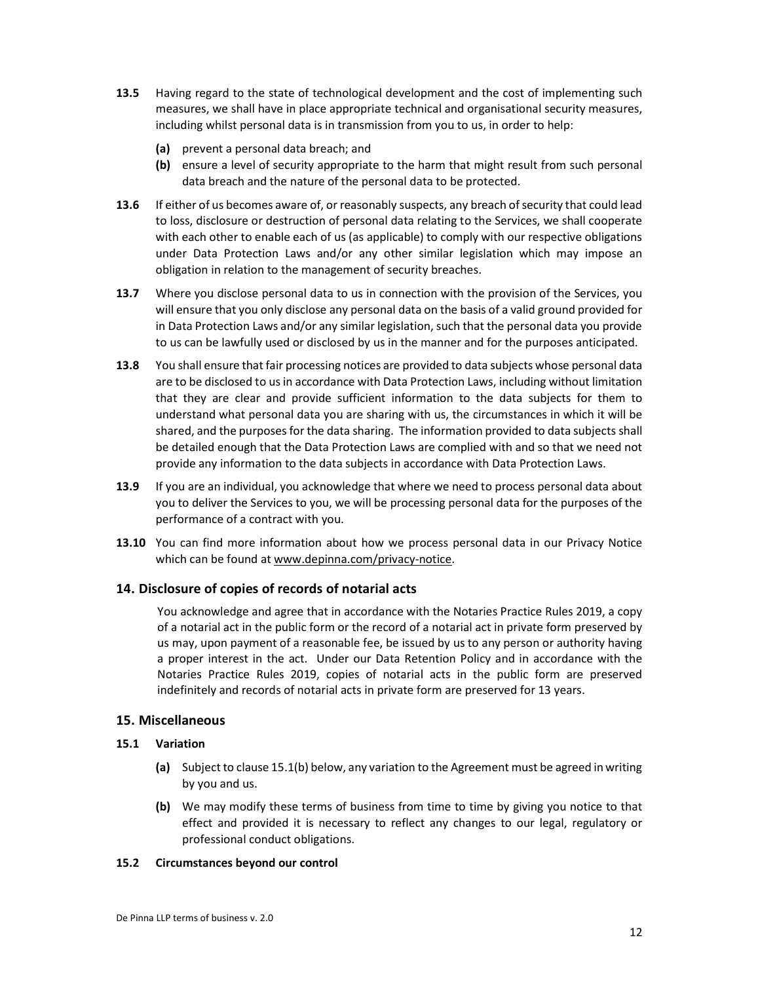- 13.5 Having regard to the state of technological development and the cost of implementing such measures, we shall have in place appropriate technical and organisational security measures, including whilst personal data is in transmission from you to us, in order to help:
	- (a) prevent a personal data breach; and
	- (b) ensure a level of security appropriate to the harm that might result from such personal data breach and the nature of the personal data to be protected.
- 13.6 If either of us becomes aware of, or reasonably suspects, any breach of security that could lead to loss, disclosure or destruction of personal data relating to the Services, we shall cooperate with each other to enable each of us (as applicable) to comply with our respective obligations under Data Protection Laws and/or any other similar legislation which may impose an obligation in relation to the management of security breaches.
- 13.7 Where you disclose personal data to us in connection with the provision of the Services, you will ensure that you only disclose any personal data on the basis of a valid ground provided for in Data Protection Laws and/or any similar legislation, such that the personal data you provide to us can be lawfully used or disclosed by us in the manner and for the purposes anticipated.
- 13.8 You shall ensure that fair processing notices are provided to data subjects whose personal data are to be disclosed to us in accordance with Data Protection Laws, including without limitation that they are clear and provide sufficient information to the data subjects for them to understand what personal data you are sharing with us, the circumstances in which it will be shared, and the purposes for the data sharing. The information provided to data subjects shall be detailed enough that the Data Protection Laws are complied with and so that we need not provide any information to the data subjects in accordance with Data Protection Laws.
- 13.9 If you are an individual, you acknowledge that where we need to process personal data about you to deliver the Services to you, we will be processing personal data for the purposes of the performance of a contract with you.
- **13.10** You can find more information about how we process personal data in our Privacy Notice which can be found at www.depinna.com/privacy-notice.

# 14. Disclosure of copies of records of notarial acts

You acknowledge and agree that in accordance with the Notaries Practice Rules 2019, a copy of a notarial act in the public form or the record of a notarial act in private form preserved by us may, upon payment of a reasonable fee, be issued by us to any person or authority having a proper interest in the act. Under our Data Retention Policy and in accordance with the Notaries Practice Rules 2019, copies of notarial acts in the public form are preserved indefinitely and records of notarial acts in private form are preserved for 13 years.

# 15. Miscellaneous

# 15.1 Variation

- (a) Subject to clause 15.1(b) below, any variation to the Agreement must be agreed in writing by you and us.
- (b) We may modify these terms of business from time to time by giving you notice to that effect and provided it is necessary to reflect any changes to our legal, regulatory or professional conduct obligations.

#### 15.2 Circumstances beyond our control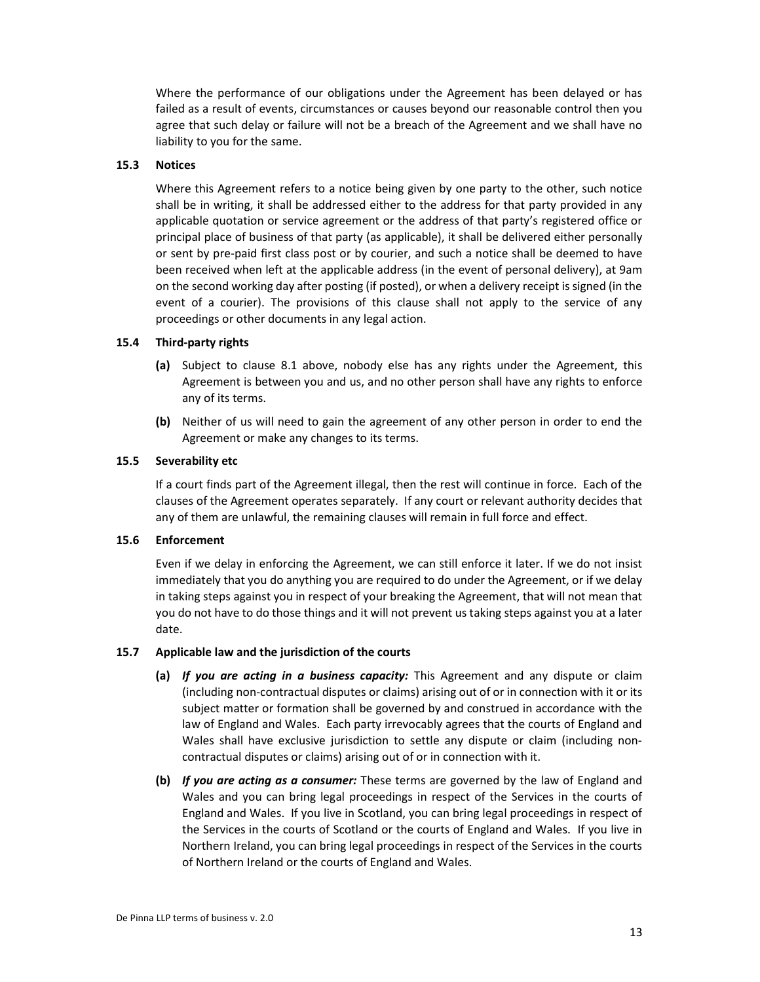Where the performance of our obligations under the Agreement has been delayed or has failed as a result of events, circumstances or causes beyond our reasonable control then you agree that such delay or failure will not be a breach of the Agreement and we shall have no liability to you for the same.

# 15.3 Notices

Where this Agreement refers to a notice being given by one party to the other, such notice shall be in writing, it shall be addressed either to the address for that party provided in any applicable quotation or service agreement or the address of that party's registered office or principal place of business of that party (as applicable), it shall be delivered either personally or sent by pre-paid first class post or by courier, and such a notice shall be deemed to have been received when left at the applicable address (in the event of personal delivery), at 9am on the second working day after posting (if posted), or when a delivery receipt is signed (in the event of a courier). The provisions of this clause shall not apply to the service of any proceedings or other documents in any legal action.

# 15.4 Third-party rights

- (a) Subject to clause 8.1 above, nobody else has any rights under the Agreement, this Agreement is between you and us, and no other person shall have any rights to enforce any of its terms.
- (b) Neither of us will need to gain the agreement of any other person in order to end the Agreement or make any changes to its terms.

#### 15.5 Severability etc

If a court finds part of the Agreement illegal, then the rest will continue in force. Each of the clauses of the Agreement operates separately. If any court or relevant authority decides that any of them are unlawful, the remaining clauses will remain in full force and effect.

# 15.6 Enforcement

Even if we delay in enforcing the Agreement, we can still enforce it later. If we do not insist immediately that you do anything you are required to do under the Agreement, or if we delay in taking steps against you in respect of your breaking the Agreement, that will not mean that you do not have to do those things and it will not prevent us taking steps against you at a later date.

#### 15.7 Applicable law and the jurisdiction of the courts

- (a) If you are acting in a business capacity: This Agreement and any dispute or claim (including non-contractual disputes or claims) arising out of or in connection with it or its subject matter or formation shall be governed by and construed in accordance with the law of England and Wales. Each party irrevocably agrees that the courts of England and Wales shall have exclusive jurisdiction to settle any dispute or claim (including noncontractual disputes or claims) arising out of or in connection with it.
- (b) If you are acting as a consumer: These terms are governed by the law of England and Wales and you can bring legal proceedings in respect of the Services in the courts of England and Wales. If you live in Scotland, you can bring legal proceedings in respect of the Services in the courts of Scotland or the courts of England and Wales. If you live in Northern Ireland, you can bring legal proceedings in respect of the Services in the courts of Northern Ireland or the courts of England and Wales.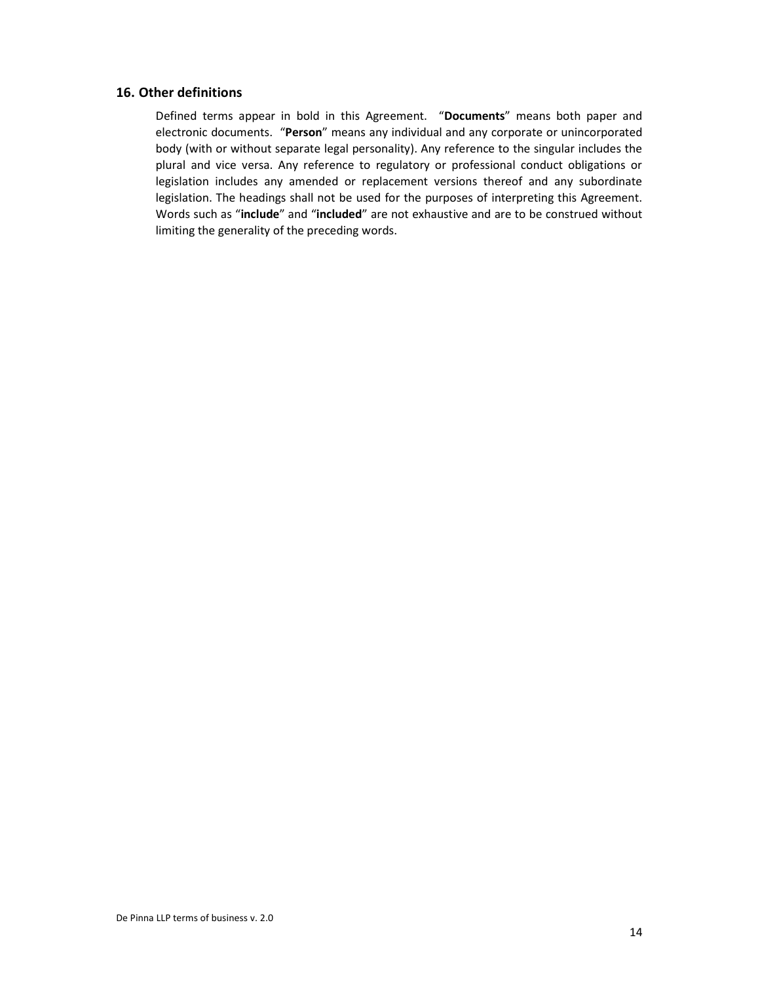# 16. Other definitions

Defined terms appear in bold in this Agreement. "Documents" means both paper and electronic documents. "Person" means any individual and any corporate or unincorporated body (with or without separate legal personality). Any reference to the singular includes the plural and vice versa. Any reference to regulatory or professional conduct obligations or legislation includes any amended or replacement versions thereof and any subordinate legislation. The headings shall not be used for the purposes of interpreting this Agreement. Words such as "include" and "included" are not exhaustive and are to be construed without limiting the generality of the preceding words.